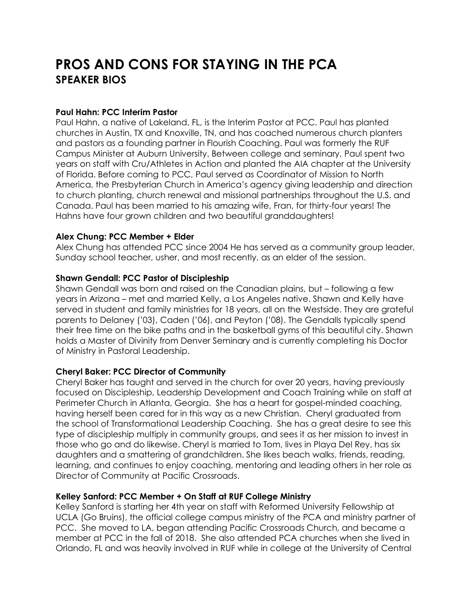# **PROS AND CONS FOR STAYING IN THE PCA SPEAKER BIOS**

#### **Paul Hahn: PCC Interim Pastor**

Paul Hahn, a native of Lakeland, FL, is the Interim Pastor at PCC. Paul has planted churches in Austin, TX and Knoxville, TN, and has coached numerous church planters and pastors as a founding partner in Flourish Coaching. Paul was formerly the RUF Campus Minister at Auburn University. Between college and seminary, Paul spent two years on staff with Cru/Athletes in Action and planted the AIA chapter at the University of Florida. Before coming to PCC, Paul served as Coordinator of Mission to North America, the Presbyterian Church in America's agency giving leadership and direction to church planting, church renewal and missional partnerships throughout the U.S. and Canada. Paul has been married to his amazing wife, Fran, for thirty-four years! The Hahns have four grown children and two beautiful granddaughters!

#### **Alex Chung: PCC Member + Elder**

Alex Chung has attended PCC since 2004 He has served as a community group leader, Sunday school teacher, usher, and most recently, as an elder of the session.

#### **Shawn Gendall: PCC Pastor of Discipleship**

Shawn Gendall was born and raised on the Canadian plains, but – following a few years in Arizona – met and married Kelly, a Los Angeles native. Shawn and Kelly have served in student and family ministries for 18 years, all on the Westside. They are grateful parents to Delaney ('03), Caden ('06), and Peyton ('08). The Gendalls typically spend their free time on the bike paths and in the basketball gyms of this beautiful city. Shawn holds a Master of Divinity from Denver Seminary and is currently completing his Doctor of Ministry in Pastoral Leadership.

#### **Cheryl Baker: PCC Director of Community**

Cheryl Baker has taught and served in the church for over 20 years, having previously focused on Discipleship, Leadership Development and Coach Training while on staff at Perimeter Church in Atlanta, Georgia. She has a heart for gospel-minded coaching, having herself been cared for in this way as a new Christian. Cheryl graduated from the school of Transformational Leadership Coaching. She has a great desire to see this type of discipleship multiply in community groups, and sees it as her mission to invest in those who go and do likewise. Cheryl is married to Tom, lives in Playa Del Rey, has six daughters and a smattering of grandchildren. She likes beach walks, friends, reading, learning, and continues to enjoy coaching, mentoring and leading others in her role as Director of Community at Pacific Crossroads.

#### **Kelley Sanford: PCC Member + On Staff at RUF College Ministry**

Kelley Sanford is starting her 4th year on staff with Reformed University Fellowship at UCLA (Go Bruins), the official college campus ministry of the PCA and ministry partner of PCC. She moved to LA, began attending Pacific Crossroads Church, and became a member at PCC in the fall of 2018. She also attended PCA churches when she lived in Orlando, FL and was heavily involved in RUF while in college at the University of Central